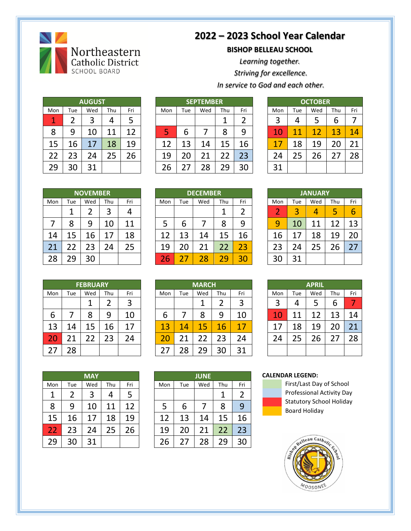

## **2022 – 2023 School Year Calendar**

**BISHOP BELLEAU SCHOOL**

*Learning together.*

*Striving for excellence.* 

*In service to God and each other.*

| <b>AUGUST</b> |     |     |     |     |  |  |  |
|---------------|-----|-----|-----|-----|--|--|--|
| Mon           | Tue | Wed | Thu | Fri |  |  |  |
| 1             | 2   | 3   | 4   | 5   |  |  |  |
| 8             | 9   | 10  | 11  | 12  |  |  |  |
| 15            | 16  | 17  | 18  | 19  |  |  |  |
| 22            | 23  | 24  | 25  | 26  |  |  |  |
| 29            | 30  | 31  |     |     |  |  |  |

|     |     | <b>AUGUST</b> |     |     | <b>SEPTEMBER</b> |     |     |     |     |     |     | <b>OCTOBER</b> |        |     |
|-----|-----|---------------|-----|-----|------------------|-----|-----|-----|-----|-----|-----|----------------|--------|-----|
| Mon | Tue | Wed           | Thu | Fri | Mon              | Tue | Wed | Thu | Fri | Mon | Tue | Wed            | Thu    | Fri |
|     |     | 3             | Δ   | כ   |                  |     |     |     |     |     | 4   |                | n      |     |
| 8   | 9   | LO            | л   | 12  | Ь                | ь   |     | 8   | 9   |     | 11  | 12             | 3<br>и | 14  |
| 15  | 16  | 17            | .8  | 19  | 12               | ว   | 14  | 15  | 6.  |     | 18  | 19             |        | 21  |
| 22  | 23  | 24            |     | 26  | 19               | zu  | 21  |     | 23  | 24  | 25  | 26             |        | 28  |
| 29  | 30  | 31            |     |     | 26               |     | 28  | 29  | 30  | 31  |     |                |        |     |

|     | <b>OCTOBER</b> |     |     |     |  |  |  |  |  |
|-----|----------------|-----|-----|-----|--|--|--|--|--|
| Mon | Tue            | Wed | Thu | Fri |  |  |  |  |  |
| 3   | 4              | 5   | 6   |     |  |  |  |  |  |
| 10  | 11             | 12  | 13  | 14  |  |  |  |  |  |
| 17  | 18             | 19  | 20  | 21  |  |  |  |  |  |
| 24  | 25             | 26  | 27  | 28  |  |  |  |  |  |
| 31  |                |     |     |     |  |  |  |  |  |

| <b>NOVEMBER</b> |     |     |     |     |  |  |  |  |
|-----------------|-----|-----|-----|-----|--|--|--|--|
| Mon             | Tue | Wed | Thu | Fri |  |  |  |  |
|                 | 1   | 2   | 3   | 4   |  |  |  |  |
| 7               | 8   | 9   | 10  | 11  |  |  |  |  |
| 14              | 15  | 16  | 17  | 18  |  |  |  |  |
| 21              | 22  | 23  | 24  | 25  |  |  |  |  |
| 28              | 29  | 30  |     |     |  |  |  |  |

|     |     | <b>NOVEMBER</b> |         |     |         | <b>DECEMBER</b> |     |     |     |     |     | <b>JANUARY</b> |     |     |
|-----|-----|-----------------|---------|-----|---------|-----------------|-----|-----|-----|-----|-----|----------------|-----|-----|
| Mon | Tue | Wed             | Thu     | Fri | Mon     | Tue             | Wed | Thu | Fri | Mon | Tue | Wed            | Thu | Fri |
|     |     |                 | ิว<br>ر | 4   |         |                 |     |     |     | ⌒   | 3   | 4              |     | 6   |
|     | 8   | 9               | 10      | 11  |         | b               |     | 8   | 9   | 9   | 10  | ◢<br>л         |     | 13  |
| 14  | .5  | 16              |         | 18  | . 7     | 13              | 14  | 15  | 6ء  | 16  |     | 18             | .9  | 20  |
| 21  | າາ  | 23              | 24      | 25  | 19      |                 | 21  | 22  | 23  | 23  | 24  | 25             | 26  | 27  |
| 28  | 29  | 30              |         |     | ⌒<br>26 |                 | 28  | 29  | 30  |     | 31  |                |     |     |

| <b>JANUARY</b> |     |     |     |     |  |  |  |  |
|----------------|-----|-----|-----|-----|--|--|--|--|
| Mon            | Tue | Wed | Thu | Fri |  |  |  |  |
| 2              | 3   | 4   | 5   | 6   |  |  |  |  |
| 9              | 10  | 11  | 12  | 13  |  |  |  |  |
| 16             | 17  | 18  | 19  | 20  |  |  |  |  |
| 23             | 24  | 25  | 26  | 27  |  |  |  |  |
| 30             | 31  |     |     |     |  |  |  |  |

|     |     | <b>FEBRUARY</b> |     |     |     | <b>MARCH</b> |     |     |     |
|-----|-----|-----------------|-----|-----|-----|--------------|-----|-----|-----|
| Mon | Tue | Wed             | Thu | Fri | Mon | Tue          | Wed | Thu | Fri |
|     |     | 1               | 2   | 3   |     |              |     | 2   | 3   |
| 6   |     | 8               | 9   | 10  | 6   |              | 8   | 9   | 10  |
| 13  | 14  | 15              | 16  | 17  | 13  | 14           | 15  | 16  | 17  |
| 20  | 21  | 22              | 23  | 24  | 20  | 21           | 22  | 23  | 24  |
| 27  | 28  |                 |     |     | 27  | 28           | 29  | 30  | 31  |

|     |     | <b>FEBRUARY</b> |     |     | <b>MARCH</b> |     |     |     |     |     | <b>APRIL</b> |        |     |     |
|-----|-----|-----------------|-----|-----|--------------|-----|-----|-----|-----|-----|--------------|--------|-----|-----|
| Mon | Tue | Wed             | Thu | Fri | Mon          | Tue | Wed | Thu | Fri | Mon | Tue          | Wed    | Thu | Fri |
|     |     |                 |     | ว   |              |     |     |     |     | 3   | 4            | ∽      | b   |     |
| 6   |     | 8               | 9   | 10  | ь            |     |     | 9   | 10  |     | 11           | ി<br>1 | ิว  | 14  |
| 13  | 14  | 15              | 16  | 17  | 13           | 14  | 5   | 16  | 17  | ⇁   | 18           | 19     |     | 21  |
| 20  | 21  | $\overline{2}$  | 23  | 24  |              | ⌒   |     | 23  | 24  | 24  | 25           | 26     |     | 28  |
| 27  | 28  |                 |     |     |              | 28  | ۰۹  | 30  | 31  |     |              |        |     |     |

| <b>APRIL</b> |     |     |     |                 |  |  |  |  |
|--------------|-----|-----|-----|-----------------|--|--|--|--|
| Mon          | Tue | Wed | Thu | Fri             |  |  |  |  |
| 3            | 4   | 5   | 6   |                 |  |  |  |  |
| 10           | 11  | 12  | 13  | 14              |  |  |  |  |
| 17           | 18  | 19  | 20  | $\overline{21}$ |  |  |  |  |
| 24           | 25  | 26  | 27  | 28              |  |  |  |  |
|              |     |     |     |                 |  |  |  |  |

|     |     | <b>MAY</b> |     |     |     |     | <b>JUNE</b> |     |     |
|-----|-----|------------|-----|-----|-----|-----|-------------|-----|-----|
| Mon | Tue | Wed        | Thu | Fri | Mon | Tue | Wed         | Thu | Fri |
| 1   | 2   | 3          | 4   | 5   |     |     |             |     |     |
| 8   | 9   | 10         | 11  | 12  | 5   | 6   |             | 8   | 9   |
| 15  | 16  | 17         | 18  | 19  | 12  | 13  | 14          | 15  | 16  |
| 22  | 23  | 24         | 25  | 26  | 19  | 20  | 21          | 22  | 23  |
| 29  | 30  | 31         |     |     | 26  | 27  | 28          | 29  | 30  |

|     |     |            |     |     |     |     | <b>JUNE</b> |     |     |
|-----|-----|------------|-----|-----|-----|-----|-------------|-----|-----|
|     |     | <b>MAY</b> |     |     |     |     |             |     |     |
| Mon | Tue | Wed        | Thu | Fri | Mon | Tue | Wed         | Thu | Fri |
| 1   |     | 3          |     | 5   |     |     |             | 1   |     |
| 8   | 9   | 10         | 11  | 12  |     | 6   |             | 8   | 9   |
| 15  | 16  | 17         | 18  | 19  | 12  | 13  | 14          | 15  | 16  |
| 22  | 23  | 24         | 25  | 26  | 19  | 20  | 21          | 22  | 23  |
| 29  | 30  | 31         |     |     | 26  | 27  | 28          | 29  | 30  |

## **CALENDAR LEGEND:**